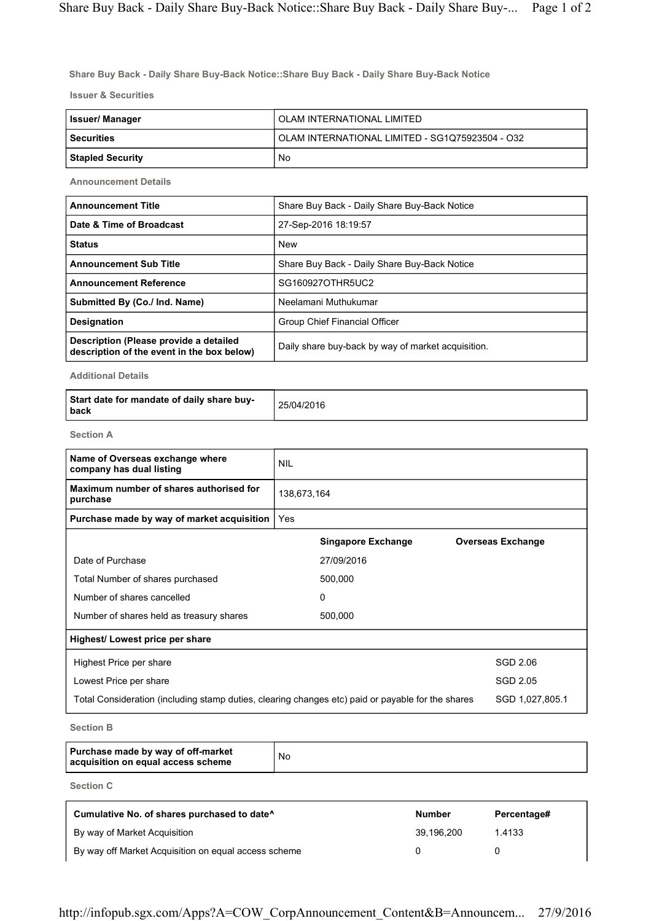Share Buy Back - Daily Share Buy-Back Notice::Share Buy Back - Daily Share Buy-Back Notice

Issuer & Securities

| Issuer/ Manager         | OLAM INTERNATIONAL LIMITED                      |
|-------------------------|-------------------------------------------------|
| <b>Securities</b>       | OLAM INTERNATIONAL LIMITED - SG1Q75923504 - O32 |
| <b>Stapled Security</b> | No                                              |

Announcement Details

| <b>Announcement Title</b>                                                            | Share Buy Back - Daily Share Buy-Back Notice       |
|--------------------------------------------------------------------------------------|----------------------------------------------------|
| Date & Time of Broadcast                                                             | 27-Sep-2016 18:19:57                               |
| <b>Status</b>                                                                        | <b>New</b>                                         |
| <b>Announcement Sub Title</b>                                                        | Share Buy Back - Daily Share Buy-Back Notice       |
| <b>Announcement Reference</b>                                                        | SG160927OTHR5UC2                                   |
| Submitted By (Co./ Ind. Name)                                                        | Neelamani Muthukumar                               |
| <b>Designation</b>                                                                   | Group Chief Financial Officer                      |
| Description (Please provide a detailed<br>description of the event in the box below) | Daily share buy-back by way of market acquisition. |

Additional Details

| Start date for mandate of daily share buy-<br>l back | 25/04/2016 |
|------------------------------------------------------|------------|
|------------------------------------------------------|------------|

Section A

| Name of Overseas exchange where<br>company has dual listing                                       | <b>NIL</b>  |                           |                          |
|---------------------------------------------------------------------------------------------------|-------------|---------------------------|--------------------------|
| Maximum number of shares authorised for<br>purchase                                               | 138,673,164 |                           |                          |
| Purchase made by way of market acquisition                                                        | <b>Yes</b>  |                           |                          |
|                                                                                                   |             | <b>Singapore Exchange</b> | <b>Overseas Exchange</b> |
| Date of Purchase                                                                                  |             | 27/09/2016                |                          |
| Total Number of shares purchased                                                                  |             | 500,000                   |                          |
| Number of shares cancelled                                                                        |             | $\Omega$                  |                          |
| Number of shares held as treasury shares                                                          |             | 500,000                   |                          |
| Highest/ Lowest price per share                                                                   |             |                           |                          |
| Highest Price per share                                                                           |             |                           | SGD 2.06                 |
| Lowest Price per share                                                                            |             |                           | SGD 2.05                 |
| Total Consideration (including stamp duties, clearing changes etc) paid or payable for the shares |             |                           | SGD 1,027,805.1          |

Section B

| Purchase made by way of off-market<br>acquisition on equal access scheme | No |
|--------------------------------------------------------------------------|----|
|--------------------------------------------------------------------------|----|

Section C

| Cumulative No. of shares purchased to date <sup>^</sup> | <b>Number</b> | Percentage# |
|---------------------------------------------------------|---------------|-------------|
| By way of Market Acquisition                            | 39.196.200    | 1.4133      |
| By way off Market Acquisition on equal access scheme    |               |             |